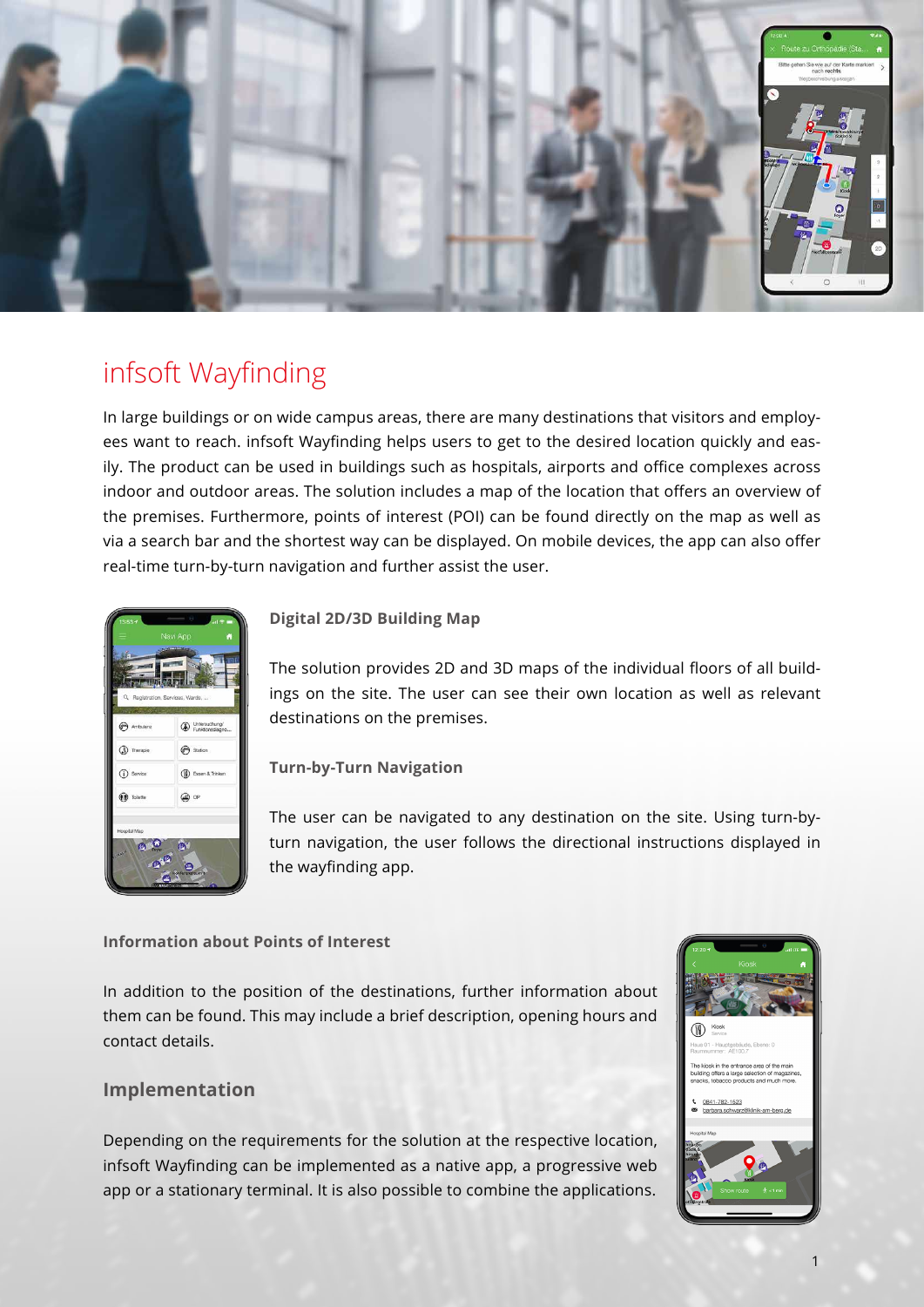

# infsoft Wayfinding

In large buildings or on wide campus areas, there are many destinations that visitors and employees want to reach. infsoft Wayfinding helps users to get to the desired location quickly and easily. The product can be used in buildings such as hospitals, airports and office complexes across indoor and outdoor areas. The solution includes a map of the location that offers an overview of the premises. Furthermore, points of interest (POI) can be found directly on the map as well as via a search bar and the shortest way can be displayed. On mobile devices, the app can also offer real-time turn-by-turn navigation and further assist the user.



### **Digital 2D/3D Building Map**

The solution provides 2D and 3D maps of the individual floors of all buildings on the site. The user can see their own location as well as relevant destinations on the premises.

**Turn-by-Turn Navigation**

The user can be navigated to any destination on the site. Using turn-byturn navigation, the user follows the directional instructions displayed in the wayfinding app.

### **Information about Points of Interest**

In addition to the position of the destinations, further information about them can be found. This may include a brief description, opening hours and contact details.

### **Implementation**

Depending on the requirements for the solution at the respective location, infsoft Wayfinding can be implemented as a native app, a progressive web app or a stationary terminal. It is also possible to combine the applications.

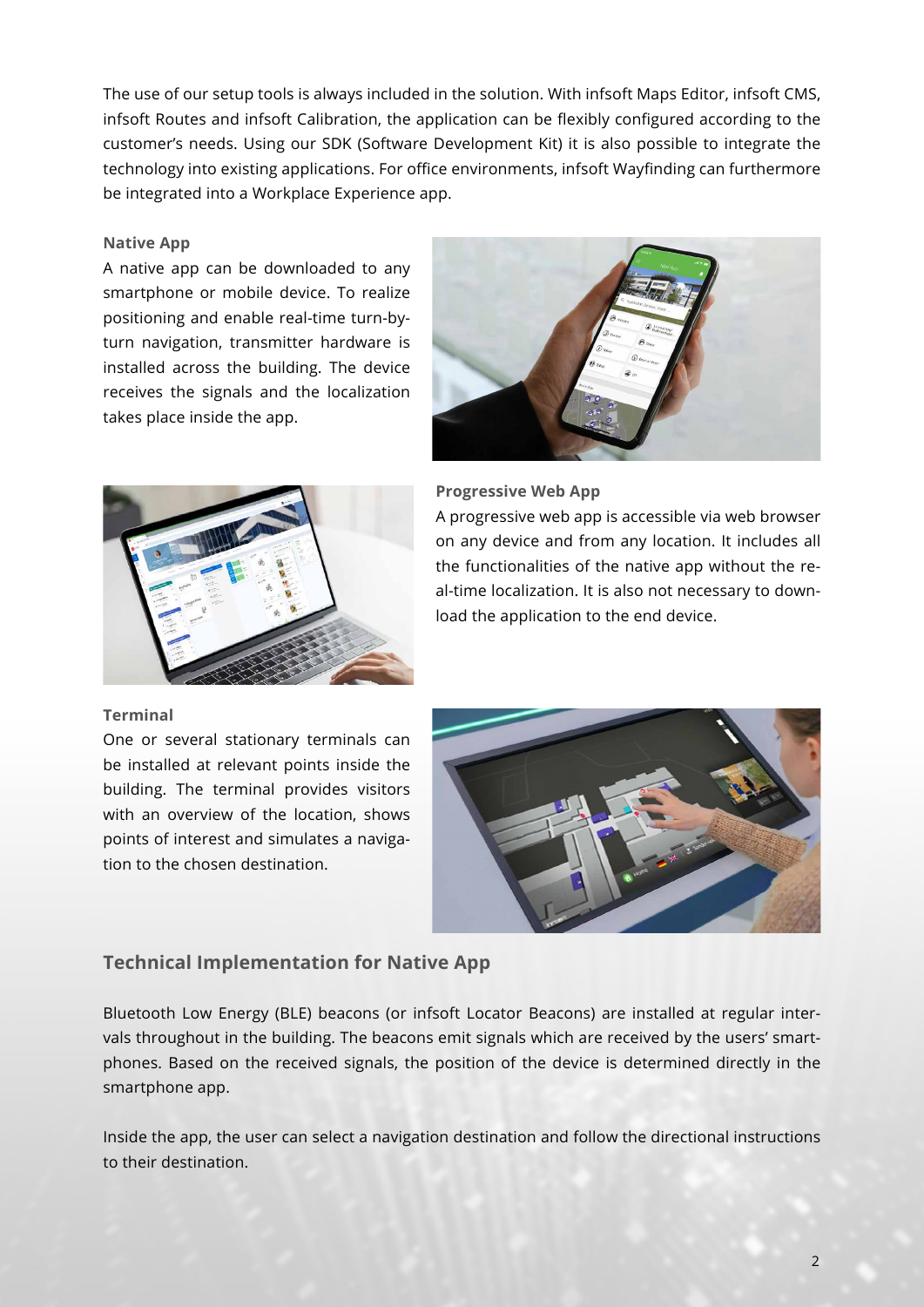The use of our setup tools is always included in the solution. With infsoft Maps Editor, infsoft CMS, infsoft Routes and infsoft Calibration, the application can be flexibly configured according to the customer's needs. Using our SDK (Software Development Kit) it is also possible to integrate the technology into existing applications. For office environments, infsoft Wayfinding can furthermore be integrated into a Workplace Experience app.

#### **Native App**

A native app can be downloaded to any smartphone or mobile device. To realize positioning and enable real-time turn-byturn navigation, transmitter hardware is installed across the building. The device receives the signals and the localization takes place inside the app.





#### **Progressive Web App**

A progressive web app is accessible via web browser on any device and from any location. It includes all the functionalities of the native app without the real-time localization. It is also not necessary to download the application to the end device.

#### **Terminal**

One or several stationary terminals can be installed at relevant points inside the building. The terminal provides visitors with an overview of the location, shows points of interest and simulates a navigation to the chosen destination.



### **Technical Implementation for Native App**

Bluetooth Low Energy (BLE) beacons (or infsoft Locator Beacons) are installed at regular intervals throughout in the building. The beacons emit signals which are received by the users' smartphones. Based on the received signals, the position of the device is determined directly in the smartphone app.

Inside the app, the user can select a navigation destination and follow the directional instructions to their destination.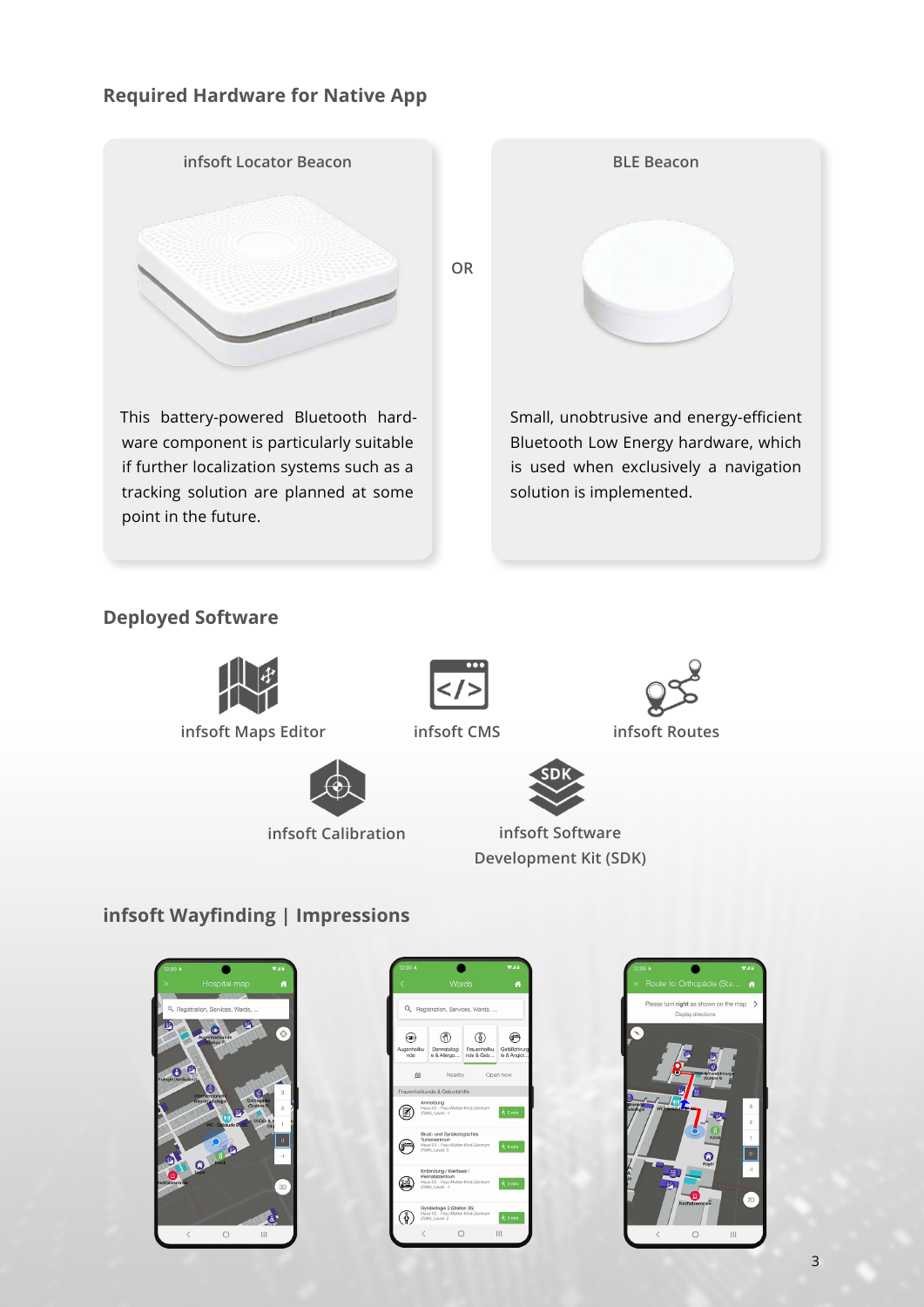### **Required Hardware for Native App**



## **Deployed Software**



**[infsoft Maps Editor](https://www.infsoft.com/platform/setup/maps-editor/) [infsoft CMS](https://www.infsoft.com/platform/setup/cms/) [infsoft Routes](https://www.infsoft.com/platform/setup/routes/)**









**[infsoft Calibration](https://www.infsoft.com/platform/setup/calibration/) infsoft Software [Development Kit \(SDK\)](https://www.infsoft.com/platform/developers-integration/software-development-kit-sdk/)**

## **infsoft Wayfinding | Impressions**